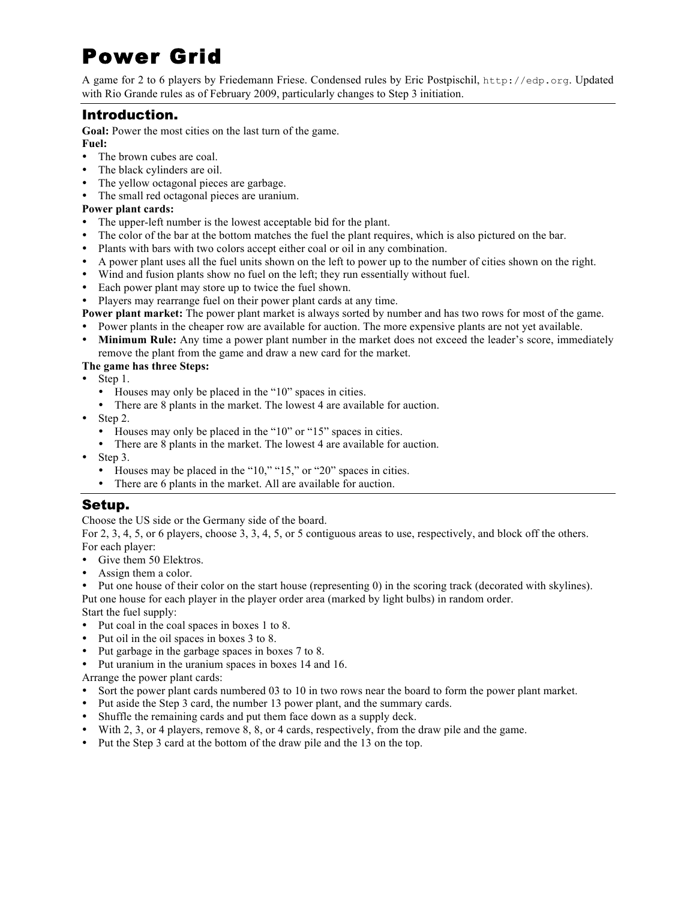# Power Grid

A game for 2 to 6 players by Friedemann Friese. Condensed rules by Eric Postpischil, http://edp.org. Updated with Rio Grande rules as of February 2009, particularly changes to Step 3 initiation.

## Introduction.

**Goal:** Power the most cities on the last turn of the game.

- **Fuel:**
- The brown cubes are coal.
- The black cylinders are oil.
- The yellow octagonal pieces are garbage.
- ! The small red octagonal pieces are uranium.

## **Power plant cards:**

- ! The upper-left number is the lowest acceptable bid for the plant.
- ! The color of the bar at the bottom matches the fuel the plant requires, which is also pictured on the bar.
- ! Plants with bars with two colors accept either coal or oil in any combination.
- ! A power plant uses all the fuel units shown on the left to power up to the number of cities shown on the right.
- ! Wind and fusion plants show no fuel on the left; they run essentially without fuel.
- ! Each power plant may store up to twice the fuel shown.
- ! Players may rearrange fuel on their power plant cards at any time.
- **Power plant market:** The power plant market is always sorted by number and has two rows for most of the game.
- ! Power plants in the cheaper row are available for auction. The more expensive plants are not yet available.
- **Minimum Rule:** Any time a power plant number in the market does not exceed the leader's score, immediately remove the plant from the game and draw a new card for the market.

## **The game has three Steps:**

- Step 1.
	- ! Houses may only be placed in the "10" spaces in cities.
	- ! There are 8 plants in the market. The lowest 4 are available for auction.
- $\bullet$  Step 2.
	- ! Houses may only be placed in the "10" or "15" spaces in cities.
	- ! There are 8 plants in the market. The lowest 4 are available for auction.
- $\bullet$  Step 3.
	- ! Houses may be placed in the "10," "15," or "20" spaces in cities.
	- ! There are 6 plants in the market. All are available for auction.

## Setup.

Choose the US side or the Germany side of the board.

For 2, 3, 4, 5, or 6 players, choose 3, 3, 4, 5, or 5 contiguous areas to use, respectively, and block off the others. For each player:

- Give them 50 Elektros.
- Assign them a color.
- ! Put one house of their color on the start house (representing 0) in the scoring track (decorated with skylines). Put one house for each player in the player order area (marked by light bulbs) in random order.

Start the fuel supply:

- ! Put coal in the coal spaces in boxes 1 to 8.
- ! Put oil in the oil spaces in boxes 3 to 8.
- ! Put garbage in the garbage spaces in boxes 7 to 8.
- ! Put uranium in the uranium spaces in boxes 14 and 16.

Arrange the power plant cards:

- ! Sort the power plant cards numbered 03 to 10 in two rows near the board to form the power plant market.
- ! Put aside the Step 3 card, the number 13 power plant, and the summary cards.
- ! Shuffle the remaining cards and put them face down as a supply deck.
- ! With 2, 3, or 4 players, remove 8, 8, or 4 cards, respectively, from the draw pile and the game.
- ! Put the Step 3 card at the bottom of the draw pile and the 13 on the top.